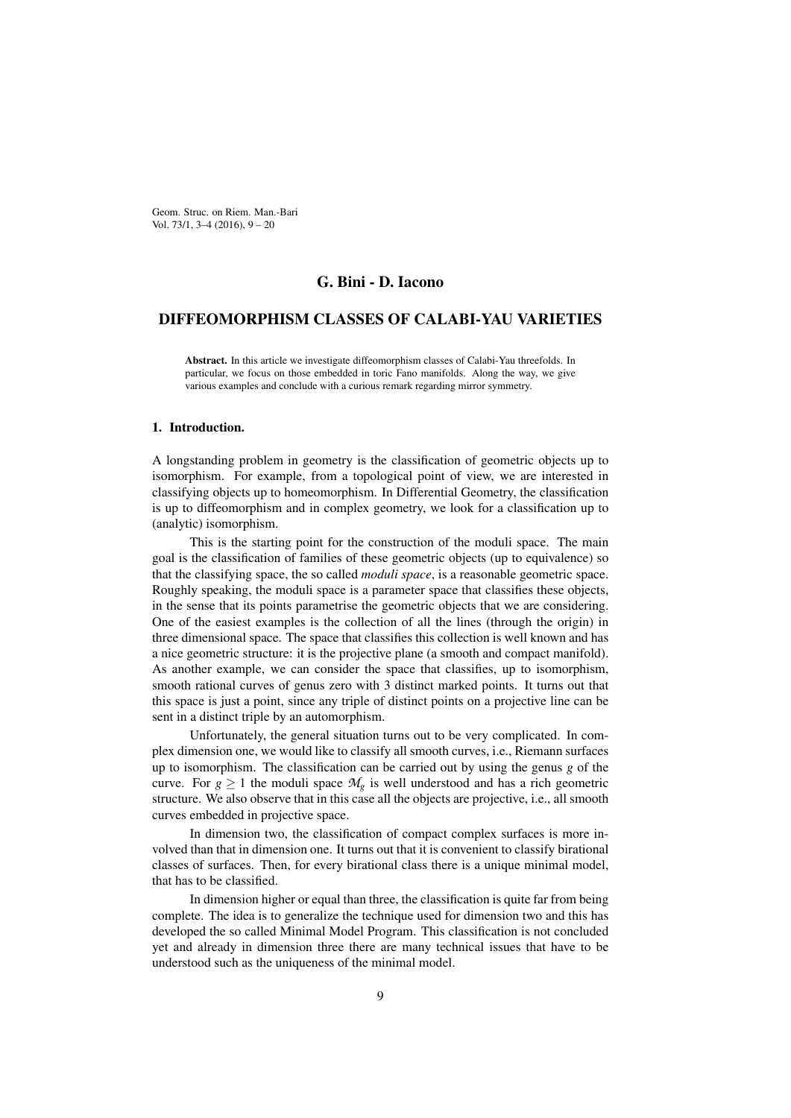Geom. Struc. on Riem. Man.-Bari Vol. 73/1, 3–4 (2016), 9 – 20

# G. Bini - D. Iacono

# DIFFEOMORPHISM CLASSES OF CALABI-YAU VARIETIES

Abstract. In this article we investigate diffeomorphism classes of Calabi-Yau threefolds. In particular, we focus on those embedded in toric Fano manifolds. Along the way, we give various examples and conclude with a curious remark regarding mirror symmetry.

#### 1. Introduction.

A longstanding problem in geometry is the classification of geometric objects up to isomorphism. For example, from a topological point of view, we are interested in classifying objects up to homeomorphism. In Differential Geometry, the classification is up to diffeomorphism and in complex geometry, we look for a classification up to (analytic) isomorphism.

This is the starting point for the construction of the moduli space. The main goal is the classification of families of these geometric objects (up to equivalence) so that the classifying space, the so called *moduli space*, is a reasonable geometric space. Roughly speaking, the moduli space is a parameter space that classifies these objects, in the sense that its points parametrise the geometric objects that we are considering. One of the easiest examples is the collection of all the lines (through the origin) in three dimensional space. The space that classifies this collection is well known and has a nice geometric structure: it is the projective plane (a smooth and compact manifold). As another example, we can consider the space that classifies, up to isomorphism, smooth rational curves of genus zero with 3 distinct marked points. It turns out that this space is just a point, since any triple of distinct points on a projective line can be sent in a distinct triple by an automorphism.

Unfortunately, the general situation turns out to be very complicated. In complex dimension one, we would like to classify all smooth curves, i.e., Riemann surfaces up to isomorphism. The classification can be carried out by using the genus *g* of the curve. For  $g \ge 1$  the moduli space  $M_g$  is well understood and has a rich geometric structure. We also observe that in this case all the objects are projective, i.e., all smooth curves embedded in projective space.

In dimension two, the classification of compact complex surfaces is more involved than that in dimension one. It turns out that it is convenient to classify birational classes of surfaces. Then, for every birational class there is a unique minimal model, that has to be classified.

In dimension higher or equal than three, the classification is quite far from being complete. The idea is to generalize the technique used for dimension two and this has developed the so called Minimal Model Program. This classification is not concluded yet and already in dimension three there are many technical issues that have to be understood such as the uniqueness of the minimal model.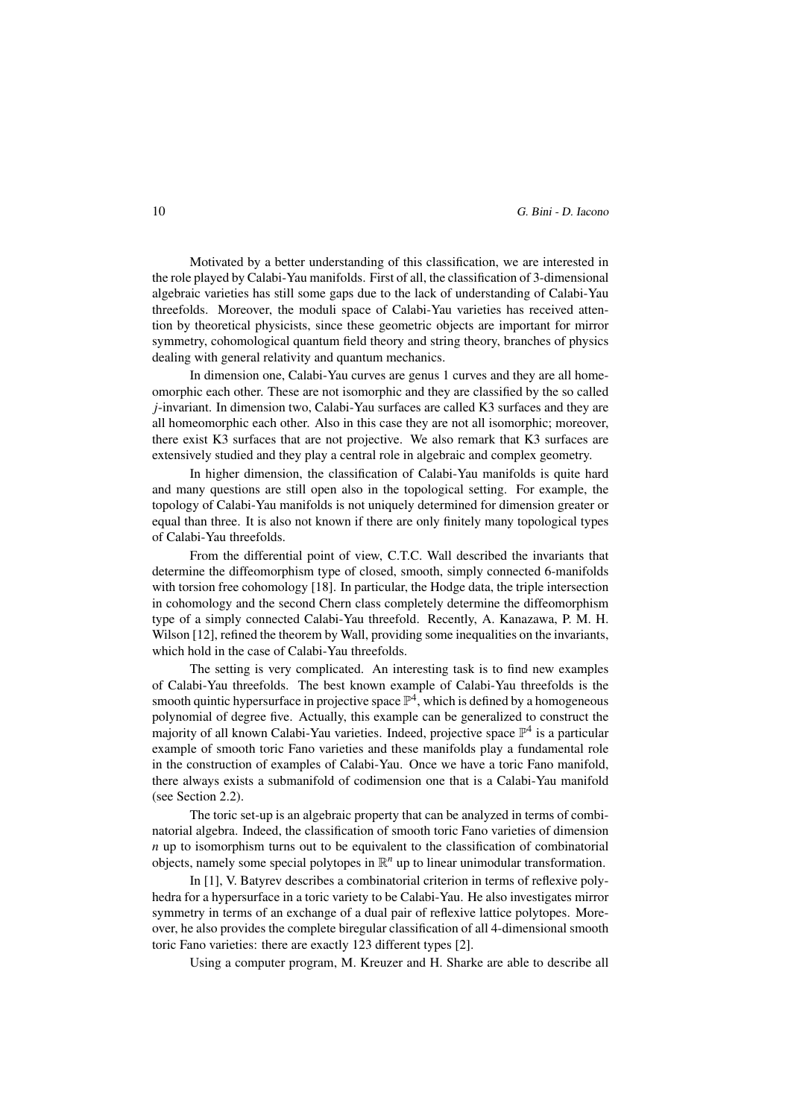Motivated by a better understanding of this classification, we are interested in the role played by Calabi-Yau manifolds. First of all, the classification of 3-dimensional algebraic varieties has still some gaps due to the lack of understanding of Calabi-Yau threefolds. Moreover, the moduli space of Calabi-Yau varieties has received attention by theoretical physicists, since these geometric objects are important for mirror symmetry, cohomological quantum field theory and string theory, branches of physics dealing with general relativity and quantum mechanics.

In dimension one, Calabi-Yau curves are genus 1 curves and they are all homeomorphic each other. These are not isomorphic and they are classified by the so called *j*-invariant. In dimension two, Calabi-Yau surfaces are called K3 surfaces and they are all homeomorphic each other. Also in this case they are not all isomorphic; moreover, there exist K3 surfaces that are not projective. We also remark that K3 surfaces are extensively studied and they play a central role in algebraic and complex geometry.

In higher dimension, the classification of Calabi-Yau manifolds is quite hard and many questions are still open also in the topological setting. For example, the topology of Calabi-Yau manifolds is not uniquely determined for dimension greater or equal than three. It is also not known if there are only finitely many topological types of Calabi-Yau threefolds.

From the differential point of view, C.T.C. Wall described the invariants that determine the diffeomorphism type of closed, smooth, simply connected 6-manifolds with torsion free cohomology [18]. In particular, the Hodge data, the triple intersection in cohomology and the second Chern class completely determine the diffeomorphism type of a simply connected Calabi-Yau threefold. Recently, A. Kanazawa, P. M. H. Wilson [12], refined the theorem by Wall, providing some inequalities on the invariants, which hold in the case of Calabi-Yau threefolds.

The setting is very complicated. An interesting task is to find new examples of Calabi-Yau threefolds. The best known example of Calabi-Yau threefolds is the smooth quintic hypersurface in projective space  $\mathbb{P}^4$ , which is defined by a homogeneous polynomial of degree five. Actually, this example can be generalized to construct the majority of all known Calabi-Yau varieties. Indeed, projective space  $\mathbb{P}^4$  is a particular example of smooth toric Fano varieties and these manifolds play a fundamental role in the construction of examples of Calabi-Yau. Once we have a toric Fano manifold, there always exists a submanifold of codimension one that is a Calabi-Yau manifold (see Section 2.2).

The toric set-up is an algebraic property that can be analyzed in terms of combinatorial algebra. Indeed, the classification of smooth toric Fano varieties of dimension *n* up to isomorphism turns out to be equivalent to the classification of combinatorial objects, namely some special polytopes in  $\mathbb{R}^n$  up to linear unimodular transformation.

In [1], V. Batyrev describes a combinatorial criterion in terms of reflexive polyhedra for a hypersurface in a toric variety to be Calabi-Yau. He also investigates mirror symmetry in terms of an exchange of a dual pair of reflexive lattice polytopes. Moreover, he also provides the complete biregular classification of all 4-dimensional smooth toric Fano varieties: there are exactly 123 different types [2].

Using a computer program, M. Kreuzer and H. Sharke are able to describe all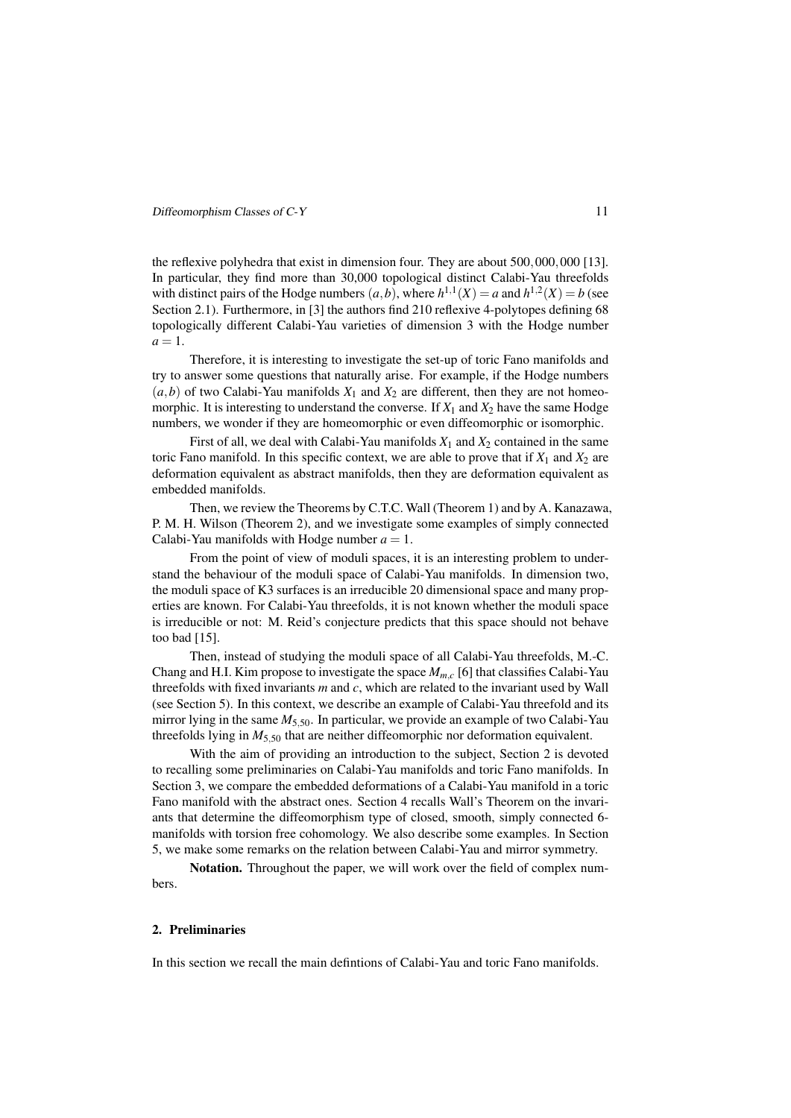the reflexive polyhedra that exist in dimension four. They are about 500*,*000*,*000 [13]. In particular, they find more than 30,000 topological distinct Calabi-Yau threefolds with distinct pairs of the Hodge numbers  $(a, b)$ , where  $h^{1,1}(X) = a$  and  $h^{1,2}(X) = b$  (see Section 2.1). Furthermore, in [3] the authors find 210 reflexive 4-polytopes defining 68 topologically different Calabi-Yau varieties of dimension 3 with the Hodge number  $a=1$ .

Therefore, it is interesting to investigate the set-up of toric Fano manifolds and try to answer some questions that naturally arise. For example, if the Hodge numbers  $(a,b)$  of two Calabi-Yau manifolds  $X_1$  and  $X_2$  are different, then they are not homeomorphic. It is interesting to understand the converse. If  $X_1$  and  $X_2$  have the same Hodge numbers, we wonder if they are homeomorphic or even diffeomorphic or isomorphic.

First of all, we deal with Calabi-Yau manifolds  $X_1$  and  $X_2$  contained in the same toric Fano manifold. In this specific context, we are able to prove that if  $X_1$  and  $X_2$  are deformation equivalent as abstract manifolds, then they are deformation equivalent as embedded manifolds.

Then, we review the Theorems by C.T.C. Wall (Theorem 1) and by A. Kanazawa, P. M. H. Wilson (Theorem 2), and we investigate some examples of simply connected Calabi-Yau manifolds with Hodge number  $a = 1$ .

From the point of view of moduli spaces, it is an interesting problem to understand the behaviour of the moduli space of Calabi-Yau manifolds. In dimension two, the moduli space of K3 surfaces is an irreducible 20 dimensional space and many properties are known. For Calabi-Yau threefolds, it is not known whether the moduli space is irreducible or not: M. Reid's conjecture predicts that this space should not behave too bad [15].

Then, instead of studying the moduli space of all Calabi-Yau threefolds, M.-C. Chang and H.I. Kim propose to investigate the space  $M_{m,c}$  [6] that classifies Calabi-Yau threefolds with fixed invariants *m* and *c*, which are related to the invariant used by Wall (see Section 5). In this context, we describe an example of Calabi-Yau threefold and its mirror lying in the same  $M_{5,50}$ . In particular, we provide an example of two Calabi-Yau threefolds lying in  $M_5$ <sub>50</sub> that are neither diffeomorphic nor deformation equivalent.

With the aim of providing an introduction to the subject, Section 2 is devoted to recalling some preliminaries on Calabi-Yau manifolds and toric Fano manifolds. In Section 3, we compare the embedded deformations of a Calabi-Yau manifold in a toric Fano manifold with the abstract ones. Section 4 recalls Wall's Theorem on the invariants that determine the diffeomorphism type of closed, smooth, simply connected 6 manifolds with torsion free cohomology. We also describe some examples. In Section 5, we make some remarks on the relation between Calabi-Yau and mirror symmetry.

Notation. Throughout the paper, we will work over the field of complex numbers.

# 2. Preliminaries

In this section we recall the main defintions of Calabi-Yau and toric Fano manifolds.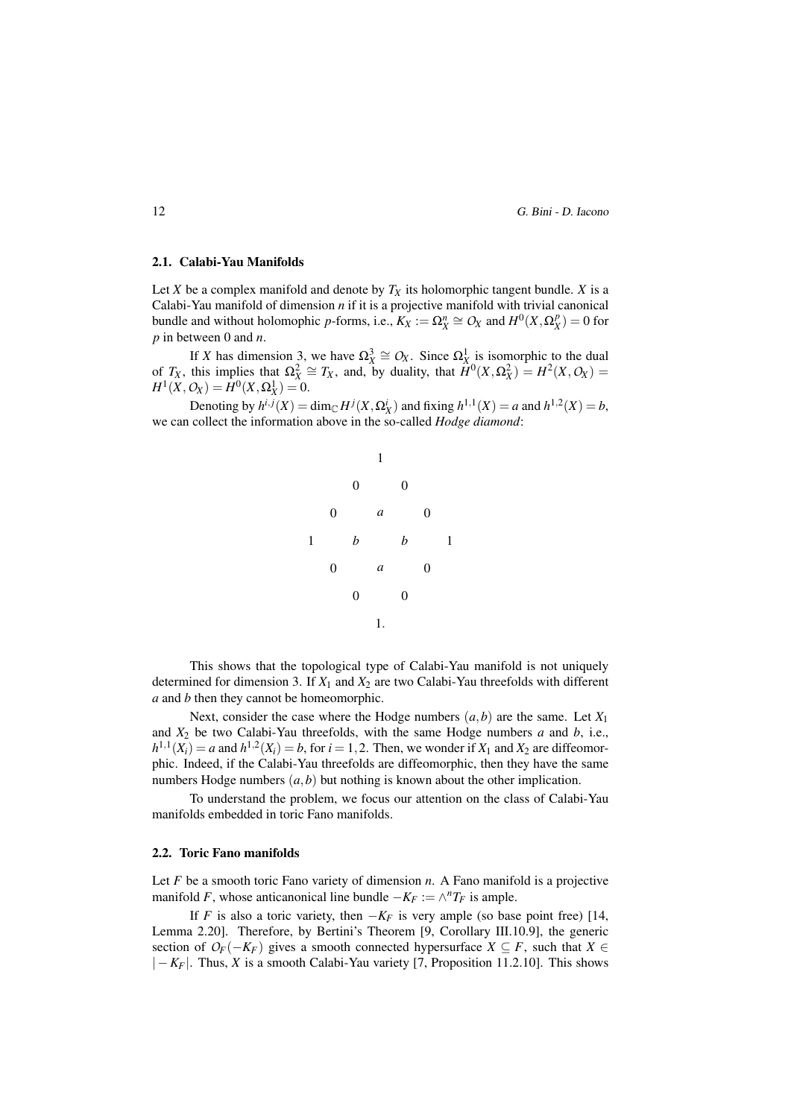12 G. Bini - D. Iacono

### 2.1. Calabi-Yau Manifolds

Let *X* be a complex manifold and denote by  $T_X$  its holomorphic tangent bundle. *X* is a Calabi-Yau manifold of dimension *n* if it is a projective manifold with trivial canonical bundle and without holomophic *p*-forms, i.e.,  $K_X := \Omega_X^n \cong O_X$  and  $H^0(X, \Omega_X^p) = 0$  for *p* in between 0 and *n*.

If *X* has dimension 3, we have  $\Omega_X^3 \cong O_X$ . Since  $\Omega_X^1$  is isomorphic to the dual of *T<sub>X</sub>*, this implies that  $\Omega_X^2 \cong T_X$ , and, by duality, that  $\hat{H}^0(X, \Omega_X^2) = H^2(X, O_X) =$  $H^1(X, Q_X) = H^0(X, \Omega_X^1) = 0.$ 

Denoting by  $h^{i,j}(X) = \dim_{\mathbb{C}} H^j(X, \Omega_X^i)$  and fixing  $h^{1,1}(X) = a$  and  $h^{1,2}(X) = b$ , we can collect the information above in the so-called *Hodge diamond*:



This shows that the topological type of Calabi-Yau manifold is not uniquely determined for dimension 3. If  $X_1$  and  $X_2$  are two Calabi-Yau threefolds with different *a* and *b* then they cannot be homeomorphic.

Next, consider the case where the Hodge numbers  $(a, b)$  are the same. Let  $X_1$ and *X*<sup>2</sup> be two Calabi-Yau threefolds, with the same Hodge numbers *a* and *b*, i.e.,  $h^{1,1}(X_i) = a$  and  $h^{1,2}(X_i) = b$ , for  $i = 1, 2$ . Then, we wonder if  $X_1$  and  $X_2$  are diffeomorphic. Indeed, if the Calabi-Yau threefolds are diffeomorphic, then they have the same numbers Hodge numbers (*a,b*) but nothing is known about the other implication.

To understand the problem, we focus our attention on the class of Calabi-Yau manifolds embedded in toric Fano manifolds.

### 2.2. Toric Fano manifolds

Let *F* be a smooth toric Fano variety of dimension *n*. A Fano manifold is a projective manifold *F*, whose anticanonical line bundle  $-K_F := \wedge^n T_F$  is ample.

If *F* is also a toric variety, then  $-K_F$  is very ample (so base point free) [14, Lemma 2.20]. Therefore, by Bertini's Theorem [9, Corollary III.10.9], the generic section of  $O_F(-K_F)$  gives a smooth connected hypersurface  $X \subseteq F$ , such that  $X \in$ *| −KF|*. Thus, *X* is a smooth Calabi-Yau variety [7, Proposition 11.2.10]. This shows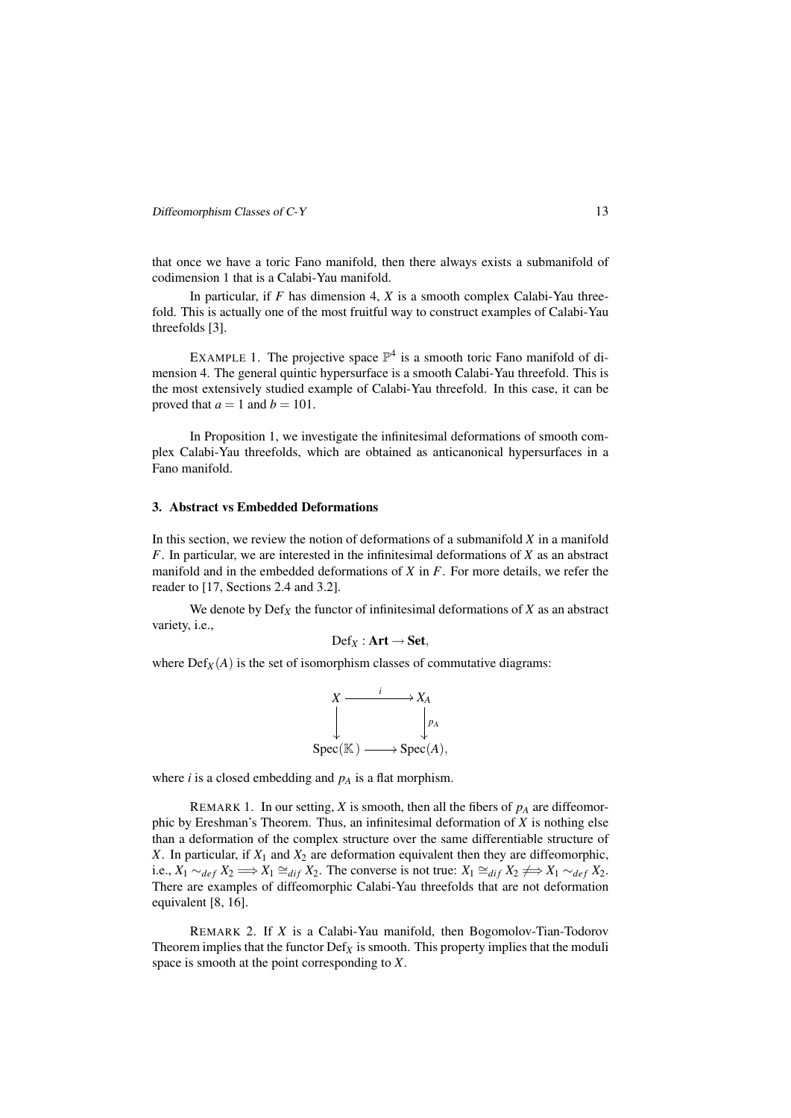that once we have a toric Fano manifold, then there always exists a submanifold of codimension 1 that is a Calabi-Yau manifold.

In particular, if *F* has dimension 4, *X* is a smooth complex Calabi-Yau threefold. This is actually one of the most fruitful way to construct examples of Calabi-Yau threefolds [3].

EXAMPLE 1. The projective space  $\mathbb{P}^4$  is a smooth toric Fano manifold of dimension 4. The general quintic hypersurface is a smooth Calabi-Yau threefold. This is the most extensively studied example of Calabi-Yau threefold. In this case, it can be proved that  $a = 1$  and  $b = 101$ .

In Proposition 1, we investigate the infinitesimal deformations of smooth complex Calabi-Yau threefolds, which are obtained as anticanonical hypersurfaces in a Fano manifold.

### 3. Abstract vs Embedded Deformations

In this section, we review the notion of deformations of a submanifold *X* in a manifold *F*. In particular, we are interested in the infinitesimal deformations of *X* as an abstract manifold and in the embedded deformations of *X* in *F*. For more details, we refer the reader to [17, Sections 2.4 and 3.2].

We denote by  $\mathrm{Def}_X$  the functor of infinitesimal deformations of  $X$  as an abstract variety, i.e.,

$$
\mathrm{Def}_X: \mathbf{Art} \to \mathbf{Set},
$$

where  $Def_X(A)$  is the set of isomorphism classes of commutative diagrams:

$$
X \xrightarrow{i} X_A
$$
  
\n
$$
\downarrow \qquad \qquad \downarrow p_A
$$
  
\nSpec(K) \longrightarrow Spec(A),

where *i* is a closed embedding and *p<sup>A</sup>* is a flat morphism.

REMARK 1. In our setting, *X* is smooth, then all the fibers of  $p_A$  are diffeomorphic by Ereshman's Theorem. Thus, an infinitesimal deformation of *X* is nothing else than a deformation of the complex structure over the same differentiable structure of *X*. In particular, if  $X_1$  and  $X_2$  are deformation equivalent then they are diffeomorphic, i.e.,  $X_1 \sim_{def} X_2 \Longrightarrow X_1 \cong_{dif} X_2$ . The converse is not true:  $X_1 \cong_{dif} X_2 \not\Longrightarrow X_1 \sim_{def} X_2$ . There are examples of diffeomorphic Calabi-Yau threefolds that are not deformation equivalent [8, 16].

REMARK 2. If *X* is a Calabi-Yau manifold, then Bogomolov-Tian-Todorov Theorem implies that the functor  $\text{Def}_X$  is smooth. This property implies that the moduli space is smooth at the point corresponding to *X*.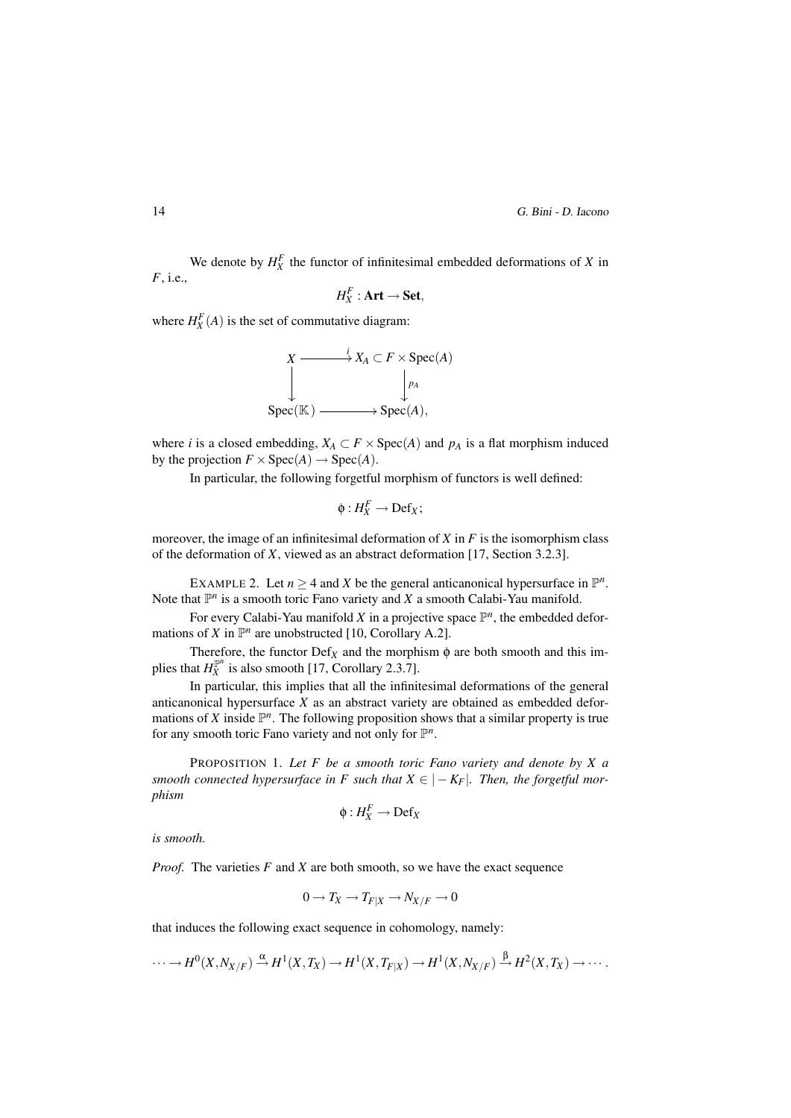We denote by  $H_X^F$  the functor of infinitesimal embedded deformations of *X* in *F*, i.e.,

$$
H_X^F: \mathbf{Art} \to \mathbf{Set},
$$

where  $H_X^F(A)$  is the set of commutative diagram:



where *i* is a closed embedding,  $X_A \subset F \times \text{Spec}(A)$  and  $p_A$  is a flat morphism induced by the projection  $F \times \text{Spec}(A) \rightarrow \text{Spec}(A)$ .

In particular, the following forgetful morphism of functors is well defined:

$$
\phi: H_X^F \to \mathrm{Def}_X;
$$

moreover, the image of an infinitesimal deformation of *X* in *F* is the isomorphism class of the deformation of *X*, viewed as an abstract deformation [17, Section 3.2.3].

EXAMPLE 2. Let  $n \geq 4$  and X be the general anticanonical hypersurface in  $\mathbb{P}^n$ . Note that  $\mathbb{P}^n$  is a smooth toric Fano variety and *X* a smooth Calabi-Yau manifold.

For every Calabi-Yau manifold  $X$  in a projective space  $\mathbb{P}^n$ , the embedded deformations of *X* in  $\mathbb{P}^n$  are unobstructed [10, Corollary A.2].

Therefore, the functor  $\text{Def}_X$  and the morphism  $\phi$  are both smooth and this implies that  $H_X^{\mathbb{P}^n}$  is also smooth [17, Corollary 2.3.7].

In particular, this implies that all the infinitesimal deformations of the general anticanonical hypersurface *X* as an abstract variety are obtained as embedded deformations of *X* inside  $\mathbb{P}^n$ . The following proposition shows that a similar property is true for any smooth toric Fano variety and not only for  $\mathbb{P}^n$ .

PROPOSITION 1. *Let F be a smooth toric Fano variety and denote by X a smooth connected hypersurface in F such that*  $X \in |-K_F|$ *. Then, the forgetful morphism*

$$
\phi: H_X^F \to \mathrm{Def}_X
$$

*is smooth.*

*Proof.* The varieties *F* and *X* are both smooth, so we have the exact sequence

$$
0 \to T_X \to T_{F|X} \to N_{X/F} \to 0
$$

that induces the following exact sequence in cohomology, namely:

$$
\cdots \to H^0(X, N_{X/F}) \xrightarrow{\alpha} H^1(X, T_X) \to H^1(X, T_{F|X}) \to H^1(X, N_{X/F}) \xrightarrow{\beta} H^2(X, T_X) \to \cdots
$$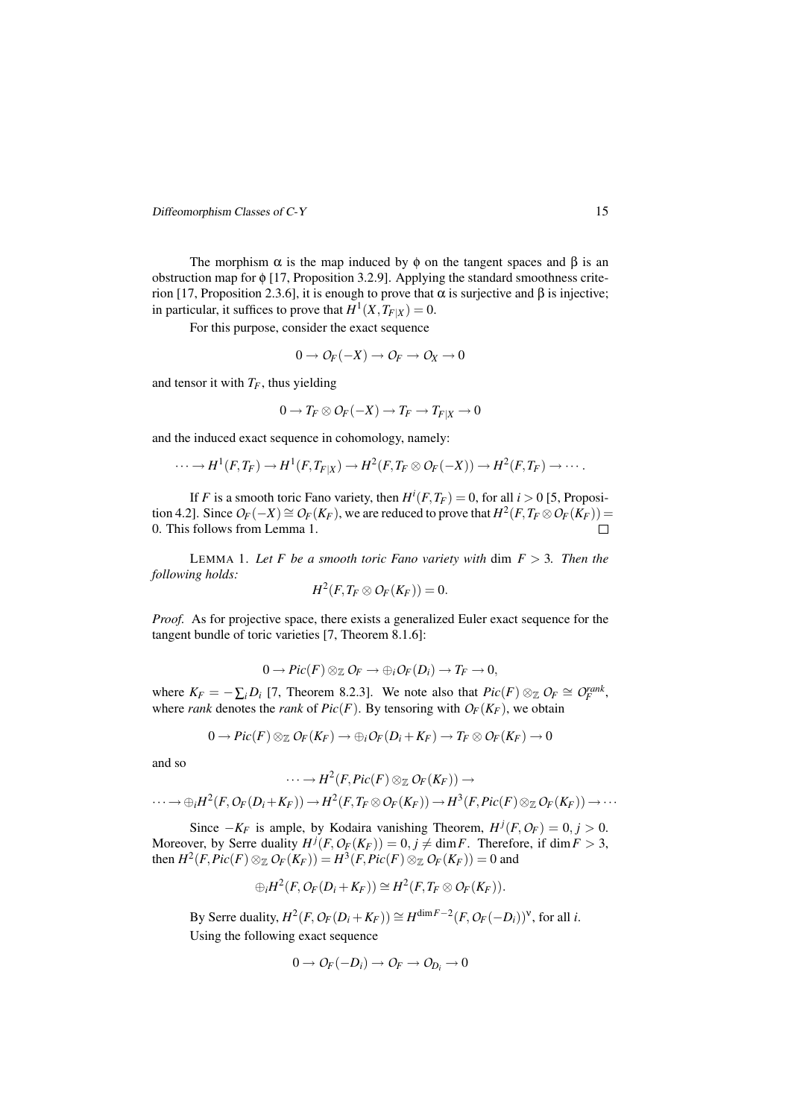The morphism  $\alpha$  is the map induced by  $\phi$  on the tangent spaces and  $\beta$  is an obstruction map for  $\phi$  [17, Proposition 3.2.9]. Applying the standard smoothness criterion [17, Proposition 2.3.6], it is enough to prove that  $\alpha$  is surjective and β is injective; in particular, it suffices to prove that  $H^1(X, T_{F|X}) = 0$ .

For this purpose, consider the exact sequence

$$
0\to \mathcal{O}_F(-X)\to \mathcal{O}_F\to \mathcal{O}_X\to 0
$$

and tensor it with  $T_F$ , thus yielding

$$
0 \to T_F \otimes \mathcal{O}_F(-X) \to T_F \to T_{F|X} \to 0
$$

and the induced exact sequence in cohomology, namely:

$$
\cdots \rightarrow H^1(F,T_F) \rightarrow H^1(F,T_{F|X}) \rightarrow H^2(F,T_F \otimes \mathcal{O}_F(-X)) \rightarrow H^2(F,T_F) \rightarrow \cdots.
$$

If *F* is a smooth toric Fano variety, then  $H^i(F, T_F) = 0$ , for all  $i > 0$  [5, Proposi- $\text{F}(A \cap B) = \text{F}(B \cap C) = \text{F}(B \cap C) = \text{F}(B \cap C)$ , we are reduced to prove that  $H^2(F, T_F \otimes \text{O}_F(K_F)) = \text{F}(B \cap C)$ 0. This follows from Lemma 1.  $\Box$ 

LEMMA 1. Let  $F$  be a smooth toric Fano variety with dim  $F > 3$ . Then the *following holds:*

$$
H^2(F, T_F\otimes \mathcal{O}_F(K_F))=0.
$$

*Proof.* As for projective space, there exists a generalized Euler exact sequence for the tangent bundle of toric varieties [7, Theorem 8.1.6]:

$$
0 \to Pic(F) \otimes_{\mathbb{Z}} \mathcal{O}_F \to \bigoplus_i \mathcal{O}_F(D_i) \to T_F \to 0,
$$

where  $K_F = -\sum_i D_i$  [7, Theorem 8.2.3]. We note also that  $Pic(F) \otimes_{\mathbb{Z}} O_F \cong O_F^{rank}$ , where *rank* denotes the *rank* of  $Pic(F)$ . By tensoring with  $O_F(K_F)$ , we obtain

$$
0 \to Pic(F) \otimes_{\mathbb{Z}} \mathcal{O}_F(K_F) \to \oplus_i \mathcal{O}_F(D_i + K_F) \to T_F \otimes \mathcal{O}_F(K_F) \to 0
$$

and so

$$
\cdots \rightarrow H^2(F, Pic(F)\otimes_{\mathbb Z} {\mathcal O}_F(K_F)) \rightarrow
$$

$$
\cdots \rightarrow \bigoplus_i H^2(F, O_F(D_i + K_F)) \rightarrow H^2(F, T_F \otimes O_F(K_F)) \rightarrow H^3(F, Pic(F) \otimes_{\mathbb{Z}} O_F(K_F)) \rightarrow \cdots
$$

Since  $-K_F$  is ample, by Kodaira vanishing Theorem,  $H^j(F, O_F) = 0, j > 0$ . Moreover, by Serre duality  $H^j(F, O_F(K_F)) = 0, j \neq \dim F$ . Therefore, if  $\dim F > 3$ , then  $H^2(F, Pic(F) \otimes_{\mathbb{Z}} O_F(K_F)) = H^3(F, Pic(F) \otimes_{\mathbb{Z}} O_F(K_F)) = 0$  and

$$
\bigoplus_i H^2(F, O_F(D_i + K_F)) \cong H^2(F, T_F \otimes O_F(K_F)).
$$

By Serre duality,  $H^2(F, O_F(D_i + K_F)) \cong H^{\dim F - 2}(F, O_F(-D_i))^{\vee}$ , for all *i*. Using the following exact sequence

$$
0\to \mathit{O}_{F}(-D_{i})\to \mathit{O}_{F}\to \mathit{O}_{D_{i}}\to 0
$$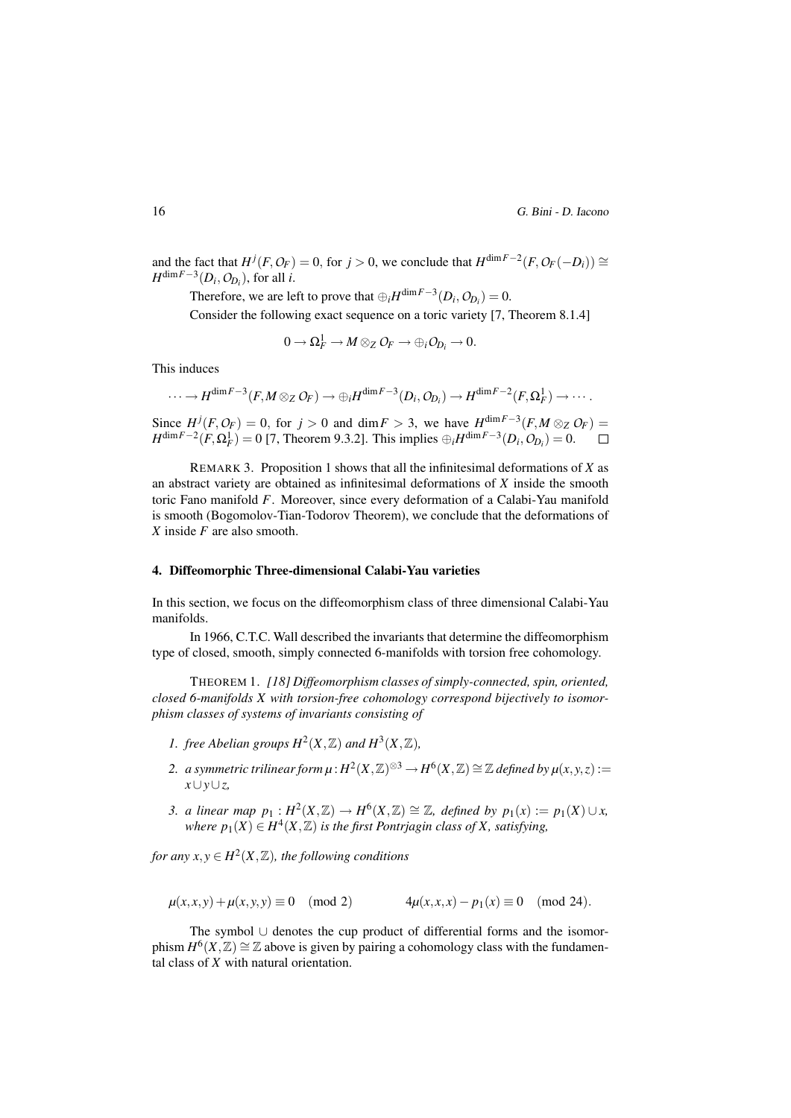and the fact that  $H^j(F, O_F) = 0$ , for  $j > 0$ , we conclude that  $H^{\dim F - 2}(F, O_F(-D_i)) \cong$ *H*<sup>dim*F*−3</sup></sub>( $D_i$ ,  $O_{D_i}$ ), for all *i*.

Therefore, we are left to prove that  $\bigoplus_i H^{\dim F - 3}(D_i, O_{D_i}) = 0$ .

Consider the following exact sequence on a toric variety [7, Theorem 8.1.4]

$$
0\longrightarrow \Omega_F^1\longrightarrow M\otimes_Z\mathcal{O}_F\longrightarrow \oplus_i\mathcal{O}_{D_i}\longrightarrow 0.
$$

This induces

$$
\cdots \to H^{\dim F-3}(F,M\otimes_ZO_F)\to \oplus_iH^{\dim F-3}(D_i,O_{D_i})\to H^{\dim F-2}(F,\Omega^1_F)\to \cdots.
$$

Since  $H^{j}(F, O_F) = 0$ , for  $j > 0$  and dim  $F > 3$ , we have  $H^{\dim F - 3}(F, M \otimes_Z O_F) =$  $H^{\dim F-2}(F, \Omega_F^1) = 0$  [7, Theorem 9.3.2]. This implies  $\oplus_i H^{\dim F-3}(D_i, O_{D_i}) = 0$ .

REMARK 3. Proposition 1 shows that all the infinitesimal deformations of *X* as an abstract variety are obtained as infinitesimal deformations of *X* inside the smooth toric Fano manifold *F*. Moreover, since every deformation of a Calabi-Yau manifold is smooth (Bogomolov-Tian-Todorov Theorem), we conclude that the deformations of *X* inside *F* are also smooth.

#### 4. Diffeomorphic Three-dimensional Calabi-Yau varieties

In this section, we focus on the diffeomorphism class of three dimensional Calabi-Yau manifolds.

In 1966, C.T.C. Wall described the invariants that determine the diffeomorphism type of closed, smooth, simply connected 6-manifolds with torsion free cohomology.

THEOREM 1. *[18] Diffeomorphism classes of simply-connected, spin, oriented, closed 6-manifolds X with torsion-free cohomology correspond bijectively to isomorphism classes of systems of invariants consisting of*

- *I. free Abelian groups*  $H^2(X, \mathbb{Z})$  *and*  $H^3(X, \mathbb{Z})$ *,*
- 2. *a symmetric trilinear form*  $\mu$ :  $H^2(X,\mathbb{Z})^{\otimes 3} \to H^6(X,\mathbb{Z}) \cong \mathbb{Z}$  defined by  $\mu(x,y,z)$ := *x∪y∪z,*
- 3. *a linear map*  $p_1: H^2(X, \mathbb{Z}) \to H^6(X, \mathbb{Z}) \cong \mathbb{Z}$ , defined by  $p_1(x) := p_1(X) \cup x$ ,  $where \ p_1(X) \in H^4(X,\mathbb{Z})$  *is the first Pontrjagin class of X, satisfying,*

*for any*  $x, y \in H^2(X, \mathbb{Z})$ *, the following conditions* 

$$
\mu(x, x, y) + \mu(x, y, y) \equiv 0 \pmod{2}
$$
  $4\mu(x, x, x) - p_1(x) \equiv 0 \pmod{24}$ .

The symbol *∪* denotes the cup product of differential forms and the isomorphism  $H^6(X, \mathbb{Z}) \cong \mathbb{Z}$  above is given by pairing a cohomology class with the fundamental class of *X* with natural orientation.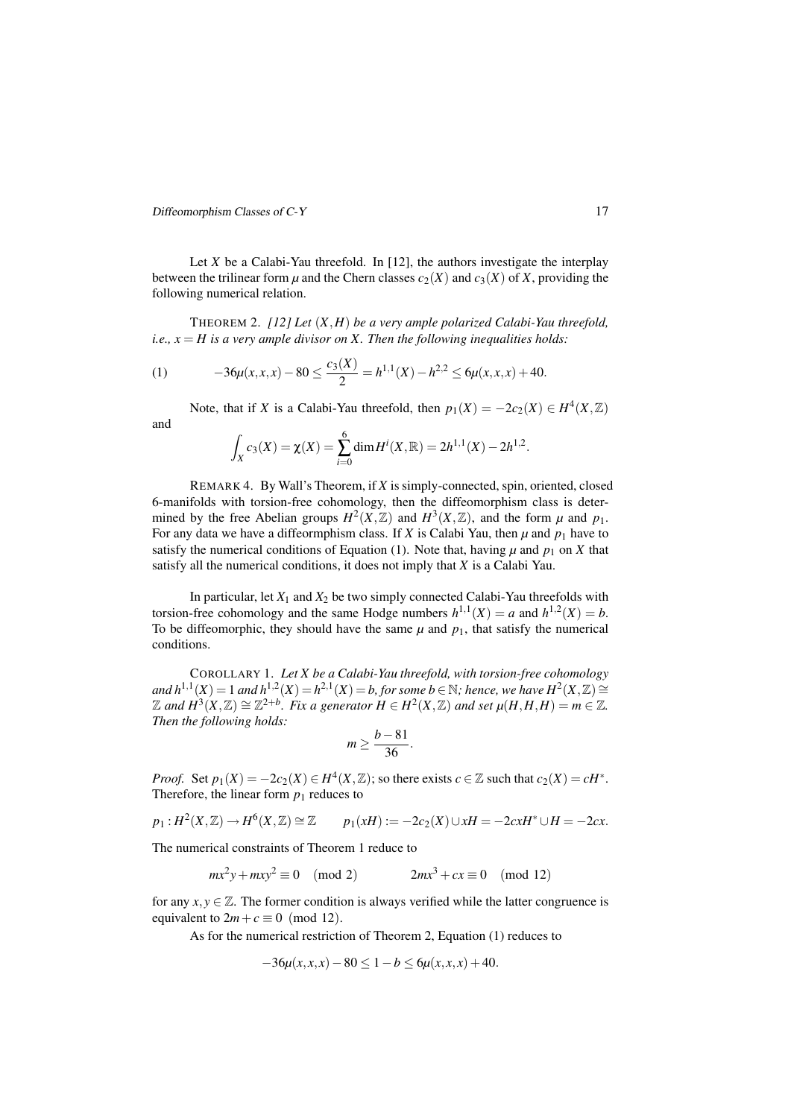Let *X* be a Calabi-Yau threefold. In [12], the authors investigate the interplay between the trilinear form  $\mu$  and the Chern classes  $c_2(X)$  and  $c_3(X)$  of X, providing the following numerical relation.

THEOREM 2. *[12] Let* (*X,H*) *be a very ample polarized Calabi-Yau threefold, i.e.,*  $x = H$  *is a very ample divisor on*  $X$ *. Then the following inequalities holds:* 

(1) 
$$
-36\mu(x,x,x) - 80 \le \frac{c_3(X)}{2} = h^{1,1}(X) - h^{2,2} \le 6\mu(x,x,x) + 40.
$$

Note, that if *X* is a Calabi-Yau threefold, then  $p_1(X) = -2c_2(X) \in H^4(X, \mathbb{Z})$ and

$$
\int_X c_3(X) = \chi(X) = \sum_{i=0}^6 \dim H^i(X, \mathbb{R}) = 2h^{1,1}(X) - 2h^{1,2}.
$$

REMARK 4. By Wall's Theorem, if *X* is simply-connected, spin, oriented, closed 6-manifolds with torsion-free cohomology, then the diffeomorphism class is determined by the free Abelian groups  $H^2(X,\mathbb{Z})$  and  $H^3(X,\mathbb{Z})$ , and the form  $\mu$  and  $p_1$ . For any data we have a diffeormphism class. If *X* is Calabi Yau, then  $\mu$  and  $p_1$  have to satisfy the numerical conditions of Equation (1). Note that, having  $\mu$  and  $p_1$  on *X* that satisfy all the numerical conditions, it does not imply that *X* is a Calabi Yau.

In particular, let  $X_1$  and  $X_2$  be two simply connected Calabi-Yau threefolds with torsion-free cohomology and the same Hodge numbers  $h^{1,1}(X) = a$  and  $h^{1,2}(X) = b$ . To be diffeomorphic, they should have the same  $\mu$  and  $p_1$ , that satisfy the numerical conditions.

COROLLARY 1. *Let X be a Calabi-Yau threefold, with torsion-free cohomology* and  $h^{1,1}(X) = 1$  and  $h^{1,2}(X) = h^{2,1}(X) = b$ , for some  $b \in \mathbb{N}$ ; hence, we have  $H^2(X, \mathbb{Z}) \cong$  $\mathbb Z$  and  $H^3(X,\mathbb Z)\cong \mathbb Z^{2+b}.$  Fix a generator  $H\in H^2(X,\mathbb Z)$  and set  $\mu(H,H,H)=m\in \mathbb Z.$ *Then the following holds:*

$$
m\geq \frac{b-81}{36}.
$$

*Proof.* Set  $p_1(X) = -2c_2(X) \in H^4(X, \mathbb{Z})$ ; so there exists  $c \in \mathbb{Z}$  such that  $c_2(X) = cH^*$ . Therefore, the linear form  $p_1$  reduces to

$$
p_1: H^2(X, \mathbb{Z}) \to H^6(X, \mathbb{Z}) \cong \mathbb{Z}
$$
  $p_1(xH) := -2c_2(X) \cup xH = -2cxH^* \cup H = -2cx.$ 

The numerical constraints of Theorem 1 reduce to

$$
mx^{2}y + mxy^{2} \equiv 0 \pmod{2} \qquad 2mx^{3} + cx \equiv 0 \pmod{12}
$$

for any  $x, y \in \mathbb{Z}$ . The former condition is always verified while the latter congruence is equivalent to  $2m + c \equiv 0 \pmod{12}$ .

As for the numerical restriction of Theorem 2, Equation (1) reduces to

$$
-36\mu(x, x, x) - 80 \le 1 - b \le 6\mu(x, x, x) + 40.
$$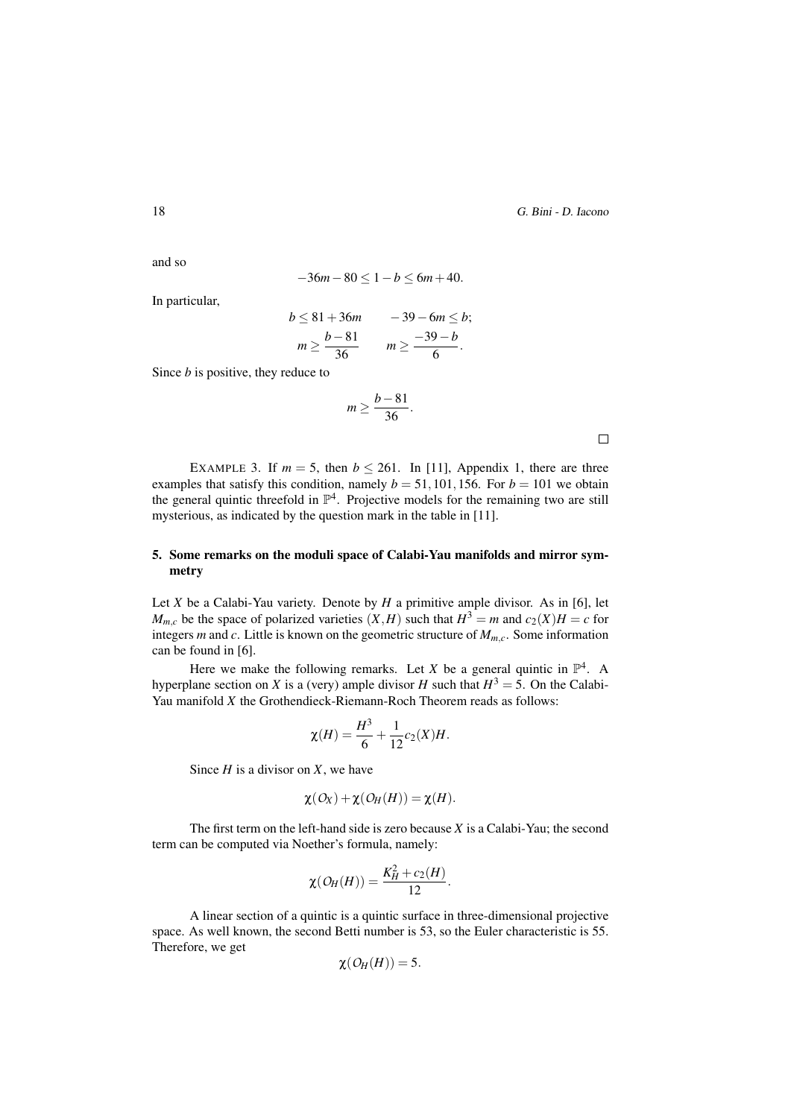and so

$$
-36m - 80 \le 1 - b \le 6m + 40.
$$

In particular,

$$
b \le 81 + 36m \qquad -39 - 6m \le b;
$$
  

$$
m \ge \frac{b-81}{36} \qquad m \ge \frac{-39-b}{6}.
$$

Since *b* is positive, they reduce to

$$
m\geq \frac{b-81}{36}.
$$

 $\Box$ 

EXAMPLE 3. If  $m = 5$ , then  $b \le 261$ . In [11], Appendix 1, there are three examples that satisfy this condition, namely  $b = 51,101,156$ . For  $b = 101$  we obtain the general quintic threefold in  $\mathbb{P}^4$ . Projective models for the remaining two are still mysterious, as indicated by the question mark in the table in [11].

# 5. Some remarks on the moduli space of Calabi-Yau manifolds and mirror symmetry

Let *X* be a Calabi-Yau variety. Denote by *H* a primitive ample divisor. As in [6], let *M*<sub>*m*</sub><sup>*c*</sup> be the space of polarized varieties  $(X, H)$  such that  $H^3 = m$  and  $c_2(X)H = c$  for integers *m* and *c*. Little is known on the geometric structure of *Mm,c*. Some information can be found in [6].

Here we make the following remarks. Let *X* be a general quintic in  $\mathbb{P}^4$ . A hyperplane section on *X* is a (very) ample divisor *H* such that  $H^3 = 5$ . On the Calabi-Yau manifold *X* the Grothendieck-Riemann-Roch Theorem reads as follows:

$$
\chi(H) = \frac{H^3}{6} + \frac{1}{12}c_2(X)H.
$$

Since *H* is a divisor on *X*, we have

$$
\chi(O_X)+\chi(O_H(H))=\chi(H).
$$

The first term on the left-hand side is zero because *X* is a Calabi-Yau; the second term can be computed via Noether's formula, namely:

$$
\chi(\mathcal{O}_H(H))=\frac{K_H^2+c_2(H)}{12}.
$$

A linear section of a quintic is a quintic surface in three-dimensional projective space. As well known, the second Betti number is 53, so the Euler characteristic is 55. Therefore, we get

$$
\chi(O_H(H))=5.
$$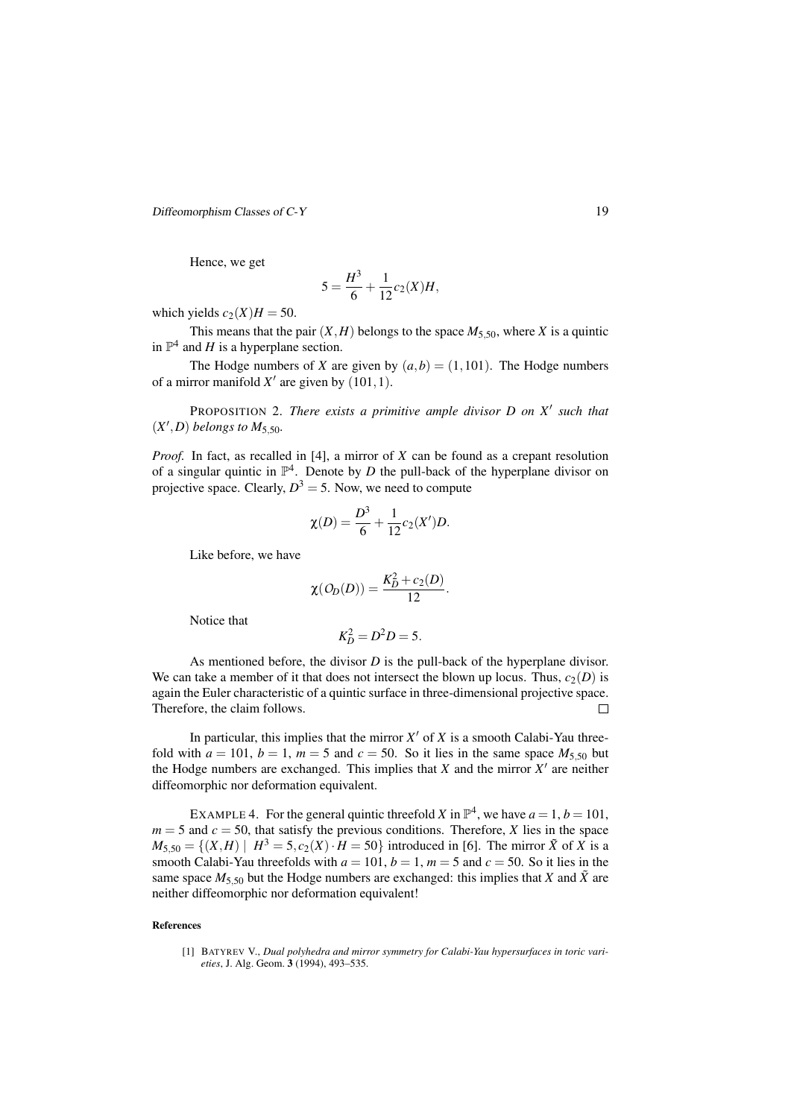Hence, we get

$$
5 = \frac{H^3}{6} + \frac{1}{12}c_2(X)H,
$$

which yields  $c_2(X)H = 50$ .

This means that the pair  $(X, H)$  belongs to the space  $M_{5,50}$ , where *X* is a quintic in  $\mathbb{P}^4$  and *H* is a hyperplane section.

The Hodge numbers of *X* are given by  $(a,b) = (1,101)$ . The Hodge numbers of a mirror manifold  $X'$  are given by  $(101, 1)$ .

PROPOSITION 2. *There exists a primitive ample divisor D on X ′ such that*  $(X', D)$  *belongs to*  $M_{5,50}$ *.* 

*Proof.* In fact, as recalled in [4], a mirror of *X* can be found as a crepant resolution of a singular quintic in  $\mathbb{P}^4$ . Denote by *D* the pull-back of the hyperplane divisor on projective space. Clearly,  $D^3 = 5$ . Now, we need to compute

$$
\chi(D) = \frac{D^3}{6} + \frac{1}{12}c_2(X')D.
$$

Like before, we have

$$
\chi(O_D(D))=\frac{K_D^2+c_2(D)}{12}.
$$

Notice that

$$
K_D^2=D^2D=5.
$$

As mentioned before, the divisor *D* is the pull-back of the hyperplane divisor. We can take a member of it that does not intersect the blown up locus. Thus,  $c_2(D)$  is again the Euler characteristic of a quintic surface in three-dimensional projective space. Therefore, the claim follows.  $\Box$ 

In particular, this implies that the mirror  $X'$  of  $X$  is a smooth Calabi-Yau threefold with  $a = 101$ ,  $b = 1$ ,  $m = 5$  and  $c = 50$ . So it lies in the same space  $M_{5,50}$  but the Hodge numbers are exchanged. This implies that  $X$  and the mirror  $X'$  are neither diffeomorphic nor deformation equivalent.

EXAMPLE 4. For the general quintic threefold *X* in  $\mathbb{P}^4$ , we have  $a = 1, b = 101$ ,  $m = 5$  and  $c = 50$ , that satisfy the previous conditions. Therefore, *X* lies in the space  $M_{5,50} = \{(X,H) | H^3 = 5, c_2(X) \cdot H = 50\}$  introduced in [6]. The mirror  $\tilde{X}$  of *X* is a smooth Calabi-Yau threefolds with  $a = 101$ ,  $b = 1$ ,  $m = 5$  and  $c = 50$ . So it lies in the same space  $M_{5,50}$  but the Hodge numbers are exchanged: this implies that *X* and  $\tilde{X}$  are neither diffeomorphic nor deformation equivalent!

#### References

<sup>[1]</sup> BATYREV V., *Dual polyhedra and mirror symmetry for Calabi-Yau hypersurfaces in toric varieties*, J. Alg. Geom. 3 (1994), 493–535.